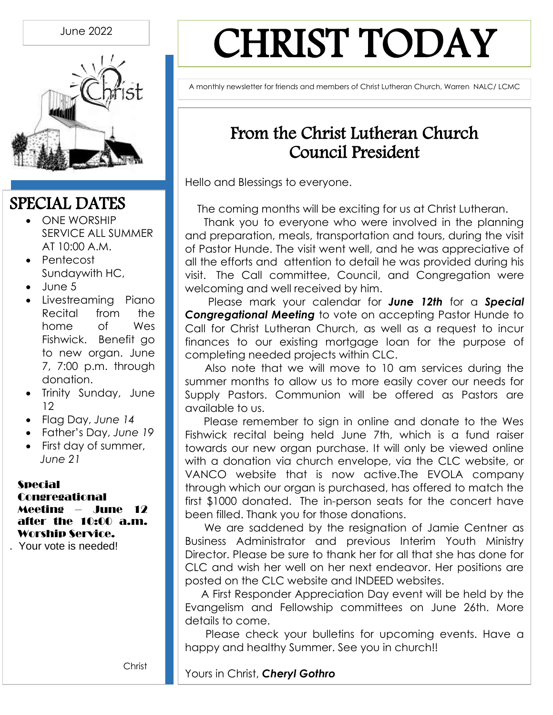

# CHRIST TODAY

A monthly newsletter for friends and members of Christ Lutheran Church, Warren NALC/ LCMC

## From the Christ Lutheran Church Council President

Hello and Blessings to everyone.

The coming months will be exciting for us at Christ Lutheran.

Thank you to everyone who were involved in the planning and preparation, meals, transportation and tours, during the visit of Pastor Hunde. The visit went well, and he was appreciative of all the efforts and attention to detail he was provided during his visit. The Call committee, Council, and Congregation were welcoming and well received by him.

Please mark your calendar for *June 12th* for a *Special Congregational Meeting* to vote on accepting Pastor Hunde to Call for Christ Lutheran Church, as well as a request to incur finances to our existing mortgage loan for the purpose of completing needed projects within CLC.

Also note that we will move to 10 am services during the summer months to allow us to more easily cover our needs for Supply Pastors. Communion will be offered as Pastors are available to us.

Please remember to sign in online and donate to the Wes Fishwick recital being held June 7th, which is a fund raiser towards our new organ purchase. It will only be viewed online with a donation via church envelope, via the CLC website, or VANCO website that is now active.The EVOLA company through which our organ is purchased, has offered to match the first \$1000 donated. The in-person seats for the concert have been filled. Thank you for those donations.

We are saddened by the resignation of Jamie Centner as Business Administrator and previous Interim Youth Ministry Director. Please be sure to thank her for all that she has done for CLC and wish her well on her next endeavor. Her positions are posted on the CLC website and INDEED websites.

A First Responder Appreciation Day event will be held by the Evangelism and Fellowship committees on June 26th. More details to come.

Please check your bulletins for upcoming events. Have a happy and healthy Summer. See you in church!!

Christ  $\begin{array}{ccc} \hline \end{array}$ **Web** Yours in Christ, **Cheryl Gothro**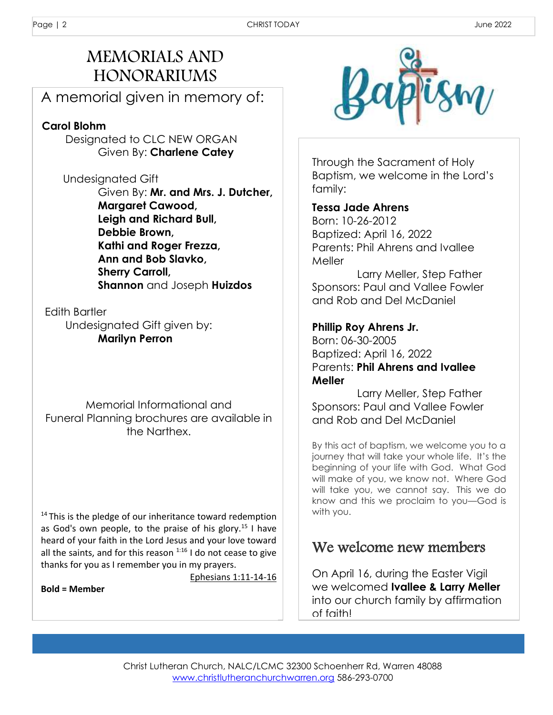## MEMORIALS AND HONORARIUMS

A memorial given in memory of:

#### **Carol Blohm**

Designated to CLC NEW ORGAN Given By: **Charlene Catey**

 Undesignated Gift Given By: **Mr. and Mrs. J. Dutcher, Margaret Cawood, Leigh and Richard Bull, Debbie Brown, Kathi and Roger Frezza, Ann and Bob Slavko, Sherry Carroll, Shannon** and Joseph **Huizdos** 

 Edith Bartler Undesignated Gift given by: **Marilyn Perron**

Memorial Informational and Funeral Planning brochures are available in the Narthex.

<sup>14</sup>This is the pledge of our inheritance toward redemption as God's own people, to the praise of his glory.<sup>15</sup> I have heard of your faith in the Lord Jesus and your love toward all the saints, and for this reason  $1:16$  I do not cease to give thanks for you as I remember you in my prayers.

Ephesians 1:11-14-16

**Bold = Member**



Through the Sacrament of Holy Baptism, we welcome in the Lord's family:

#### **Tessa Jade Ahrens**

Born: 10-26-2012 Baptized: April 16, 2022 Parents: Phil Ahrens and Ivallee Meller

 Larry Meller, Step Father Sponsors: Paul and Vallee Fowler and Rob and Del McDaniel

#### **Phillip Roy Ahrens Jr.**

Born: 06-30-2005 Baptized: April 16, 2022 Parents: **Phil Ahrens and Ivallee Meller** 

 Larry Meller, Step Father Sponsors: Paul and Vallee Fowler and Rob and Del McDaniel

By this act of baptism, we welcome you to a journey that will take your whole life. It's the beginning of your life with God. What God will make of you, we know not. Where God will take you, we cannot say. This we do know and this we proclaim to you—God is with you.

### We welcome new members

On April 16, during the Easter Vigil we welcomed **Ivallee & Larry Meller** into our church family by affirmation of faith!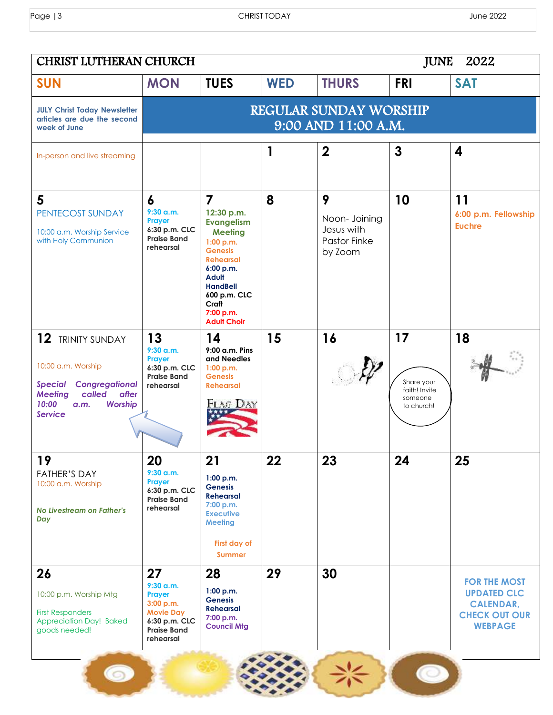| CHRIST LUTHERAN CHURCH<br><b>JUNE</b>                                                                                                                          |                                                                                                                  |                                                                                                                                                                                                                                    |            |                                                                    |                                                            | 2022                                                                                                    |  |
|----------------------------------------------------------------------------------------------------------------------------------------------------------------|------------------------------------------------------------------------------------------------------------------|------------------------------------------------------------------------------------------------------------------------------------------------------------------------------------------------------------------------------------|------------|--------------------------------------------------------------------|------------------------------------------------------------|---------------------------------------------------------------------------------------------------------|--|
| <b>SUN</b>                                                                                                                                                     | <b>MON</b>                                                                                                       | <b>TUES</b>                                                                                                                                                                                                                        | <b>WED</b> | <b>THURS</b>                                                       | <b>FRI</b>                                                 | <b>SAT</b>                                                                                              |  |
| <b>JULY Christ Today Newsletter</b><br>articles are due the second<br>week of June                                                                             | <b>REGULAR SUNDAY WORSHIP</b><br>9:00 AND 11:00 A.M.                                                             |                                                                                                                                                                                                                                    |            |                                                                    |                                                            |                                                                                                         |  |
| In-person and live streaming                                                                                                                                   |                                                                                                                  |                                                                                                                                                                                                                                    | 1          | $\mathbf 2$                                                        | $\mathbf{3}$                                               | 4                                                                                                       |  |
| 5<br>PENTECOST SUNDAY<br>10:00 a.m. Worship Service<br>with Holy Communion                                                                                     | 6<br>$9:30$ a.m.<br>Prayer<br>6:30 p.m. CLC<br><b>Praise Band</b><br>rehearsal                                   | $\overline{7}$<br>12:30 p.m.<br><b>Evangelism</b><br><b>Meeting</b><br>1:00 p.m.<br><b>Genesis</b><br><b>Rehearsal</b><br>6:00 p.m.<br><b>Adult</b><br><b>HandBell</b><br>600 p.m. CLC<br>Craft<br>7:00 p.m.<br><b>Adult Choir</b> | 8          | 9<br>Noon- Joining<br>Jesus with<br><b>Pastor Finke</b><br>by Zoom | 10                                                         | 11<br>6:00 p.m. Fellowship<br><b>Euchre</b>                                                             |  |
| 12 TRINITY SUNDAY<br>10:00 a.m. Worship<br>Congregational<br>Special<br>after<br><b>Meeting</b><br>called<br>10:00<br><b>Worship</b><br>a.m.<br><b>Service</b> | 13<br>9:30 a.m.<br>Prayer<br>6:30 p.m. CLC<br><b>Praise Band</b><br>rehearsal                                    | 14<br>9:00 a.m. Pins<br>and Needles<br>1:00 p.m.<br><b>Genesis</b><br><b>Rehearsal</b><br>FLAG DAY                                                                                                                                 | 15         | 16                                                                 | 17<br>Share your<br>faith! Invite<br>someone<br>to church! | 18                                                                                                      |  |
| 19<br><b>FATHER'S DAY</b><br>10:00 a.m. Worship<br>No Livestream on Father's<br>Day                                                                            | 20<br>$9:30$ a.m.<br>Prayer<br>6:30 p.m. CLC<br><b>Praise Band</b><br>rehearsal                                  | 21<br>1:00 p.m.<br><b>Genesis</b><br><b>Rehearsal</b><br>7:00 p.m.<br><b>Executive</b><br><b>Meeting</b><br>First day of<br><b>Summer</b>                                                                                          | 22         | 23                                                                 | 24                                                         | 25                                                                                                      |  |
| 26<br>10:00 p.m. Worship Mtg<br><b>First Responders</b><br>Appreciation Day! Baked<br>goods needed!                                                            | 27<br>$9:30$ a.m.<br>Prayer<br>3:00 p.m.<br><b>Movie Day</b><br>6:30 p.m. CLC<br><b>Praise Band</b><br>rehearsal | 28<br>1:00 p.m.<br><b>Genesis</b><br><b>Rehearsal</b><br>7:00 p.m.<br><b>Council Mtg</b>                                                                                                                                           | 29         | 30                                                                 |                                                            | <b>FOR THE MOST</b><br><b>UPDATED CLC</b><br><b>CALENDAR,</b><br><b>CHECK OUT OUR</b><br><b>WEBPAGE</b> |  |
|                                                                                                                                                                |                                                                                                                  |                                                                                                                                                                                                                                    |            |                                                                    |                                                            |                                                                                                         |  |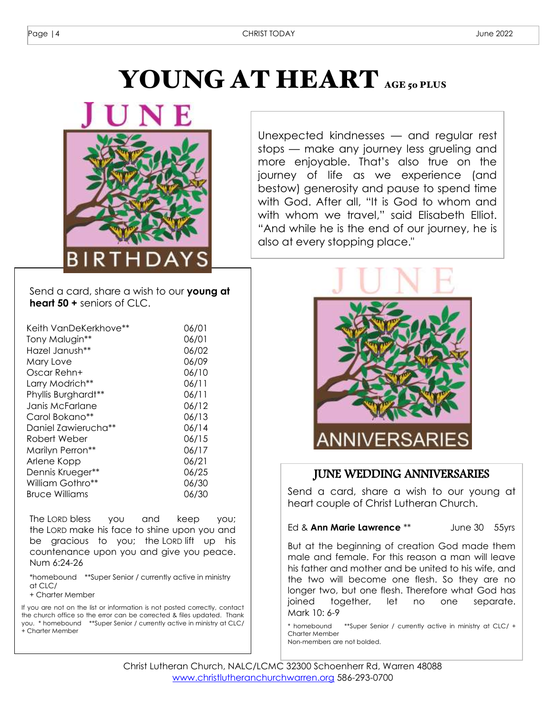# YOUNG AT HEART AGE 50 PLUS



Unexpected kindnesses — and regular rest stops — make any journey less grueling and more enjoyable. That's also true on the journey of life as we experience (and bestow) generosity and pause to spend time with God. After all, "It is God to whom and with whom we travel," said Elisabeth Elliot. "And while he is the end of our journey, he is also at every stopping place."

Send a card, share a wish to our **young at heart 50 +** seniors of CLC.

| Keith VanDeKerkhove** | 06/01 |
|-----------------------|-------|
| Tony Malugin**        | 06/01 |
| Hazel Janush**        | 06/02 |
| Mary Love             | 06/09 |
| Oscar Rehn+           | 06/10 |
| Larry Modrich**       | 06/11 |
| Phyllis Burghardt**   | 06/11 |
| Janis McFarlane       | 06/12 |
| Carol Bokano**        | 06/13 |
| Daniel Zawierucha**   | 06/14 |
| Robert Weber          | 06/15 |
| Marilyn Perron**      | 06/17 |
| Arlene Kopp           | 06/21 |
| Dennis Krueger**      | 06/25 |
| William Gothro**      | 06/30 |
| <b>Bruce Williams</b> | 06/30 |

The LORD bless you and keep you; the LORD make his face to shine upon you and be gracious to you; the LORD lift up his countenance upon you and give you peace. Num 6:24-26

\*homebound \*\*Super Senior / currently active in ministry at CLC/

+ Charter Member

If you are not on the list or information is not posted correctly, contact the church office so the error can be corrected & files updated. Thank you. \* homebound \*\*Super Senior / currently active in ministry at CLC/ + Charter Member



#### JUNE WEDDING ANNIVERSARIES

Send a card, share a wish to our young at heart couple of Christ Lutheran Church.

Ed & **Ann Marie Lawrence** \*\* June 30 55yrs

But at the beginning of creation God made them male and female. For this reason a man will leave his father and mother and be united to his wife, and the two will become one flesh. So they are no longer two, but one flesh. Therefore what God has joined together, let no one separate. Mark 10: 6-9

\* homebound \*\*Super Senior / currently active in ministry at CLC/ + Charter Member Non-members are not bolded.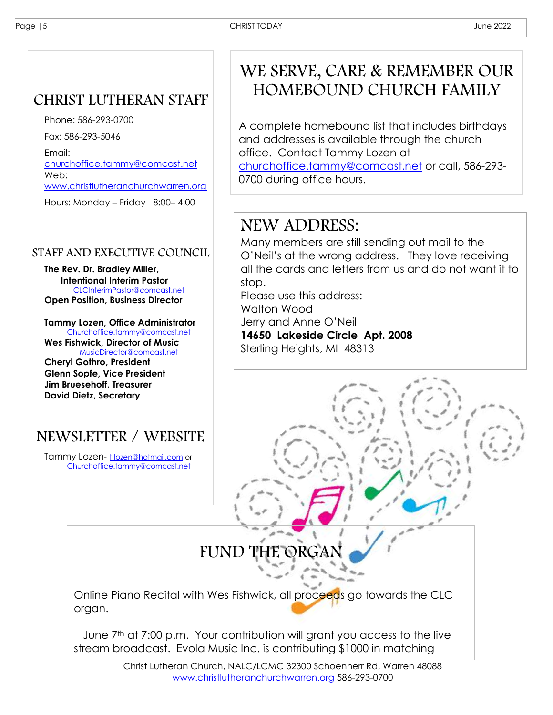Ī

## CHRIST LUTHERAN STAFF

Phone: 586-293-0700

Fax: 586-293-5046

Email: [churchoffice.tammy@comcast.net](mailto:churchoffice.tammy@comcast.net) Web:

[www.christlutheranchurchwarren.org](http://www.christlutheranchurchwarren.org/)

Hours: Monday – Friday 8:00– 4:00

#### STAFF AND EXECUTIVE COUNCIL

**The Rev. Dr. Bradley Miller, Intentional Interim Pastor** [CLCInterimPastor@comcast.net](mailto:CLCInterimPastor@comcast.net) **Open Position, Business Director**

**Tammy Lozen, Office Administrator** [Churchoffice.tammy@comcast.net](mailto:Churchoffice.tammy@comcast.net) **Wes Fishwick, Director of Music** [MusicDirector@comcast.net](mailto:MusicDirector@comcast.net) **Cheryl Gothro, President Glenn Sopfe, Vice President Jim Bruesehoff, Treasurer David Dietz, Secretary**

## NEWSLETTER / WEBSITE

Tammy Lozen- [t.lozen@hotmail.com](mailto:t.lozen@hotmail.com) or [Churchoffice.tammy@comcast.net](mailto:Churchoffice.tammy@comcast.net)

funds.

## WE SERVE, CARE & REMEMBER OUR HOMEBOUND CHURCH FAMILY

A complete homebound list that includes birthdays and addresses is available through the church office. Contact Tammy Lozen at [churchoffice.tammy@comcast.net](mailto:churchoffice.tammy@comcast.net) or call, 586-293- 0700 during office hours.

## NEW ADDRESS:

Many members are still sending out mail to the O'Neil's at the wrong address. They love receiving all the cards and letters from us and do not want it to stop.

Please use this address:

Walton Wood

Jerry and Anne O'Neil

**14650 Lakeside Circle Apt. 2008** Sterling Heights, MI 48313

## FUND THE ORGAN

Online Piano Recital with Wes Fishwick, all proceeds go towards the CLC organ.

June 7<sup>th</sup> at 7:00 p.m. Your contribution will grant you access to the live stream broadcast. Evola Music Inc. is contributing \$1000 in matching